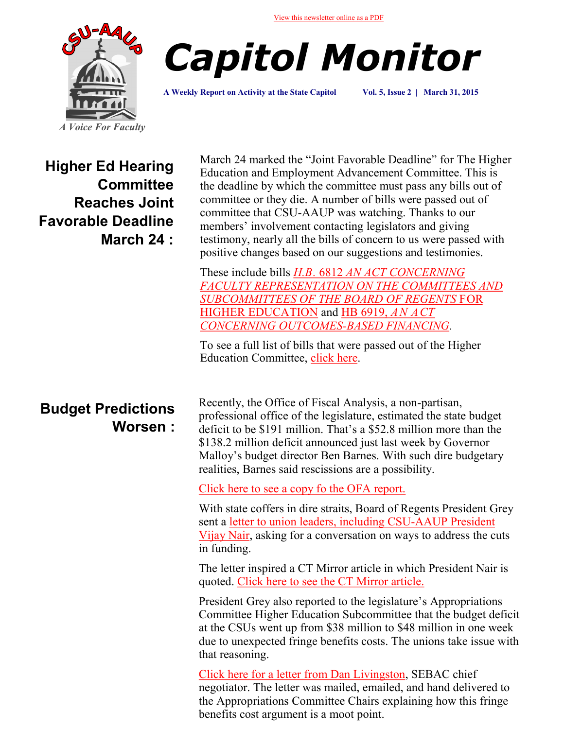[View this newsletter online as a PDF](http://www.csuaaup.org/?page_id=1369)





**A Weekly Report on Activity at the State Capitol Vol. 5, Issue 2 | March 31, 2015**

**Higher Ed Hearing Committee Reaches Joint Favorable Deadline March 24 :**

March 24 marked the "Joint Favorable Deadline" for The Higher Education and Employment Advancement Committee. This is the deadline by which the committee must pass any bills out of committee or they die. A number of bills were passed out of committee that CSU-AAUP was watching. Thanks to our members' involvement contacting legislators and giving testimony, nearly all the bills of concern to us were passed with positive changes based on our suggestions and testimonies.

These include bills *H.B.* 6812 *[AN ACT CONCERNING](http://www.cga.ct.gov/2015/jfr/h/2015HB-06812-R00HED-JFR.htm)  [FACULTY REPRESENTATION ON THE COMMITTEES AND](http://www.cga.ct.gov/2015/jfr/h/2015HB-06812-R00HED-JFR.htm)  [SUBCOMMITTEES OF THE BOARD OF REGENTS](http://www.cga.ct.gov/2015/jfr/h/2015HB-06812-R00HED-JFR.htm)* FOR [HIGHER EDUCATION](http://www.cga.ct.gov/2015/jfr/h/2015HB-06812-R00HED-JFR.htm) and [HB 6919,](http://www.cga.ct.gov/2015/TOB/H/2015HB-06919-R00-HB.htm) *AN ACT [CONCERNING OUTCOMES](http://www.cga.ct.gov/2015/TOB/H/2015HB-06919-R00-HB.htm)-BASED FINANCING.* 

To see a full list of bills that were passed out of the Higher Education Committee, [click here.](http://www.cga.ct.gov/asp/menu/CommJFList.asp?comm_code=hed)

## **Budget Predictions Worsen :**

Recently, the Office of Fiscal Analysis, a non-partisan, professional office of the legislature, estimated the state budget deficit to be \$191 million. That's a \$52.8 million more than the \$138.2 million deficit announced just last week by Governor Malloy's budget director Ben Barnes. With such dire budgetary realities, Barnes said rescissions are a possibility.

[Click here to see a copy fo the OFA report.](http://www.cga.ct.gov/ofa/Documents/year/PROJ/2015PROJ-20150325z_March%2025,%202015%20General%20Fund%20Projections.pdf)

With state coffers in dire straits, Board of Regents President Grey sent a [letter to union leaders, including CSU](http://www.csuaaup.org/wp-content/uploads/2015/03/FY-16-Budget-Shortfall-Ltr-Nair-CSU-AAUP.pdf)-AAUP President [Vijay Nair,](http://www.csuaaup.org/wp-content/uploads/2015/03/FY-16-Budget-Shortfall-Ltr-Nair-CSU-AAUP.pdf) asking for a conversation on ways to address the cuts in funding.

The letter inspired a CT Mirror article in which President Nair is quoted. [Click here to see the CT Mirror article.](http://ctmirror.org/2015/03/27/cscu-leader-asks-for-contract-concessions-faculty-union-balks/)

President Grey also reported to the legislature's Appropriations Committee Higher Education Subcommittee that the budget deficit at the CSUs went up from \$38 million to \$48 million in one week due to unexpected fringe benefits costs. The unions take issue with that reasoning.

[Click here for a letter from Dan Livingston,](http://www.csuaaup.org/wp-content/uploads/2015/03/Letter_to_the_Approps_Chairs-signed.pdf) SEBAC chief negotiator. The letter was mailed, emailed, and hand delivered to the Appropriations Committee Chairs explaining how this fringe benefits cost argument is a moot point.